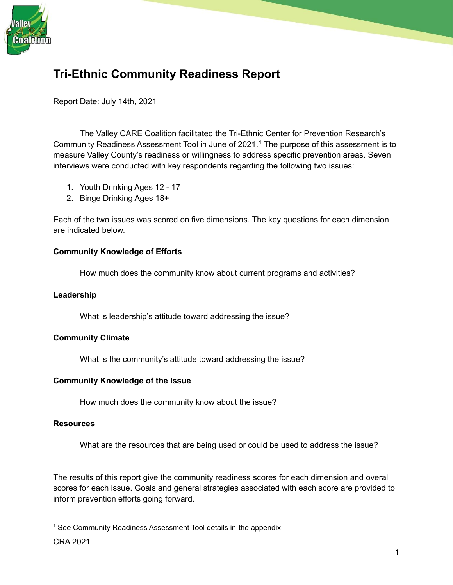

# **Tri-Ethnic Community Readiness Report**

Report Date: July 14th, 2021

The Valley CARE Coalition facilitated the Tri-Ethnic Center for Prevention Research's Community Readiness Assessment Tool in June of 2021. <sup>1</sup> The purpose of this assessment is to measure Valley County's readiness or willingness to address specific prevention areas. Seven interviews were conducted with key respondents regarding the following two issues:

- 1. Youth Drinking Ages 12 17
- 2. Binge Drinking Ages 18+

Each of the two issues was scored on five dimensions. The key questions for each dimension are indicated below.

#### **Community Knowledge of Efforts**

How much does the community know about current programs and activities?

#### **Leadership**

What is leadership's attitude toward addressing the issue?

#### **Community Climate**

What is the community's attitude toward addressing the issue?

#### **Community Knowledge of the Issue**

How much does the community know about the issue?

#### **Resources**

What are the resources that are being used or could be used to address the issue?

The results of this report give the community readiness scores for each dimension and overall scores for each issue. Goals and general strategies associated with each score are provided to inform prevention efforts going forward.

<sup>&</sup>lt;sup>1</sup> See Community Readiness Assessment Tool details in the appendix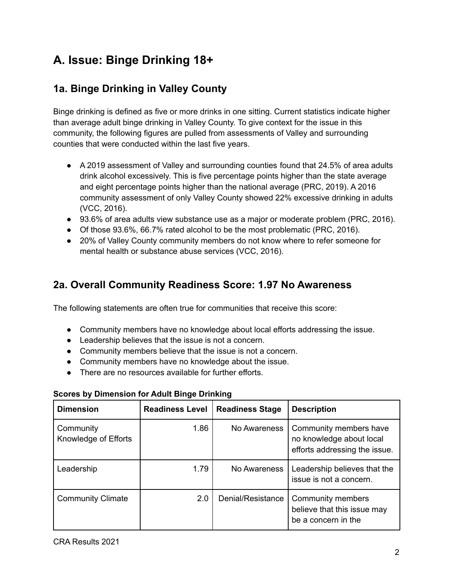# **A. Issue: Binge Drinking 18+**

## **1a. Binge Drinking in Valley County**

Binge drinking is defined as five or more drinks in one sitting. Current statistics indicate higher than average adult binge drinking in Valley County. To give context for the issue in this community, the following figures are pulled from assessments of Valley and surrounding counties that were conducted within the last five years.

- A 2019 assessment of Valley and surrounding counties found that 24.5% of area adults drink alcohol excessively. This is five percentage points higher than the state average and eight percentage points higher than the national average (PRC, 2019). A 2016 community assessment of only Valley County showed 22% excessive drinking in adults (VCC, 2016).
- 93.6% of area adults view substance use as a major or moderate problem (PRC, 2016).
- Of those 93.6%, 66.7% rated alcohol to be the most problematic (PRC, 2016).
- 20% of Valley County community members do not know where to refer someone for mental health or substance abuse services (VCC, 2016).

## **2a. Overall Community Readiness Score: 1.97 No Awareness**

The following statements are often true for communities that receive this score:

- Community members have no knowledge about local efforts addressing the issue.
- Leadership believes that the issue is not a concern.
- Community members believe that the issue is not a concern.
- Community members have no knowledge about the issue.
- There are no resources available for further efforts.

| <b>Dimension</b>                  | <b>Readiness Level</b> | <b>Readiness Stage</b> | <b>Description</b>                                                                  |
|-----------------------------------|------------------------|------------------------|-------------------------------------------------------------------------------------|
| Community<br>Knowledge of Efforts | 1.86                   | No Awareness           | Community members have<br>no knowledge about local<br>efforts addressing the issue. |
| Leadership                        | 1.79                   | No Awareness           | Leadership believes that the<br>issue is not a concern.                             |
| <b>Community Climate</b>          | 2.0                    | Denial/Resistance      | Community members<br>believe that this issue may<br>be a concern in the             |

#### **Scores by Dimension for Adult Binge Drinking**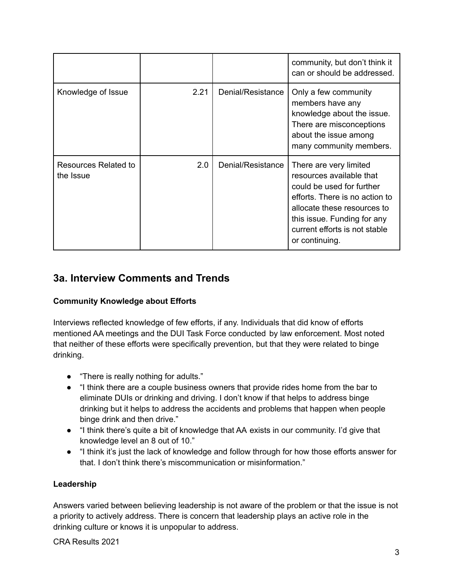|                                   |      |                   | community, but don't think it<br>can or should be addressed.                                                                                                                                                                       |
|-----------------------------------|------|-------------------|------------------------------------------------------------------------------------------------------------------------------------------------------------------------------------------------------------------------------------|
| Knowledge of Issue                | 2.21 | Denial/Resistance | Only a few community<br>members have any<br>knowledge about the issue.<br>There are misconceptions<br>about the issue among<br>many community members.                                                                             |
| Resources Related to<br>the Issue | 2.0  | Denial/Resistance | There are very limited<br>resources available that<br>could be used for further<br>efforts. There is no action to<br>allocate these resources to<br>this issue. Funding for any<br>current efforts is not stable<br>or continuing. |

## **3a. Interview Comments and Trends**

### **Community Knowledge about Efforts**

Interviews reflected knowledge of few efforts, if any. Individuals that did know of efforts mentioned AA meetings and the DUI Task Force conducted by law enforcement. Most noted that neither of these efforts were specifically prevention, but that they were related to binge drinking.

- "There is really nothing for adults."
- "I think there are a couple business owners that provide rides home from the bar to eliminate DUIs or drinking and driving. I don't know if that helps to address binge drinking but it helps to address the accidents and problems that happen when people binge drink and then drive."
- "I think there's quite a bit of knowledge that AA exists in our community. I'd give that knowledge level an 8 out of 10."
- "I think it's just the lack of knowledge and follow through for how those efforts answer for that. I don't think there's miscommunication or misinformation."

### **Leadership**

Answers varied between believing leadership is not aware of the problem or that the issue is not a priority to actively address. There is concern that leadership plays an active role in the drinking culture or knows it is unpopular to address.

CRA Results 2021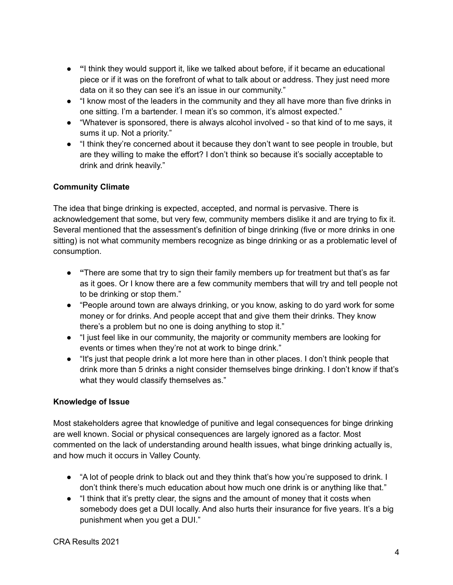- **● "**I think they would support it, like we talked about before, if it became an educational piece or if it was on the forefront of what to talk about or address. They just need more data on it so they can see it's an issue in our community."
- "I know most of the leaders in the community and they all have more than five drinks in one sitting. I'm a bartender. I mean it's so common, it's almost expected."
- "Whatever is sponsored, there is always alcohol involved so that kind of to me says, it sums it up. Not a priority."
- "I think they're concerned about it because they don't want to see people in trouble, but are they willing to make the effort? I don't think so because it's socially acceptable to drink and drink heavily."

#### **Community Climate**

The idea that binge drinking is expected, accepted, and normal is pervasive. There is acknowledgement that some, but very few, community members dislike it and are trying to fix it. Several mentioned that the assessment's definition of binge drinking (five or more drinks in one sitting) is not what community members recognize as binge drinking or as a problematic level of consumption.

- **● "**There are some that try to sign their family members up for treatment but that's as far as it goes. Or I know there are a few community members that will try and tell people not to be drinking or stop them."
- "People around town are always drinking, or you know, asking to do yard work for some money or for drinks. And people accept that and give them their drinks. They know there's a problem but no one is doing anything to stop it."
- "I just feel like in our community, the majority or community members are looking for events or times when they're not at work to binge drink."
- "It's just that people drink a lot more here than in other places. I don't think people that drink more than 5 drinks a night consider themselves binge drinking. I don't know if that's what they would classify themselves as."

#### **Knowledge of Issue**

Most stakeholders agree that knowledge of punitive and legal consequences for binge drinking are well known. Social or physical consequences are largely ignored as a factor. Most commented on the lack of understanding around health issues, what binge drinking actually is, and how much it occurs in Valley County.

- "A lot of people drink to black out and they think that's how you're supposed to drink. I don't think there's much education about how much one drink is or anything like that."
- "I think that it's pretty clear, the signs and the amount of money that it costs when somebody does get a DUI locally. And also hurts their insurance for five years. It's a big punishment when you get a DUI."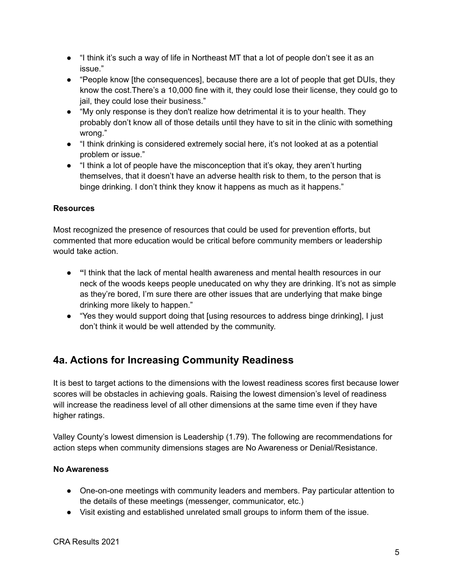- "I think it's such a way of life in Northeast MT that a lot of people don't see it as an issue."
- "People know [the consequences], because there are a lot of people that get DUIs, they know the cost.There's a 10,000 fine with it, they could lose their license, they could go to jail, they could lose their business."
- "My only response is they don't realize how detrimental it is to your health. They probably don't know all of those details until they have to sit in the clinic with something wrong."
- "I think drinking is considered extremely social here, it's not looked at as a potential problem or issue."
- "I think a lot of people have the misconception that it's okay, they aren't hurting themselves, that it doesn't have an adverse health risk to them, to the person that is binge drinking. I don't think they know it happens as much as it happens."

#### **Resources**

Most recognized the presence of resources that could be used for prevention efforts, but commented that more education would be critical before community members or leadership would take action.

- **● "**I think that the lack of mental health awareness and mental health resources in our neck of the woods keeps people uneducated on why they are drinking. It's not as simple as they're bored, I'm sure there are other issues that are underlying that make binge drinking more likely to happen."
- "Yes they would support doing that [using resources to address binge drinking], I just don't think it would be well attended by the community.

## **4a. Actions for Increasing Community Readiness**

It is best to target actions to the dimensions with the lowest readiness scores first because lower scores will be obstacles in achieving goals. Raising the lowest dimension's level of readiness will increase the readiness level of all other dimensions at the same time even if they have higher ratings.

Valley County's lowest dimension is Leadership (1.79). The following are recommendations for action steps when community dimensions stages are No Awareness or Denial/Resistance.

#### **No Awareness**

- One-on-one meetings with community leaders and members. Pay particular attention to the details of these meetings (messenger, communicator, etc.)
- Visit existing and established unrelated small groups to inform them of the issue.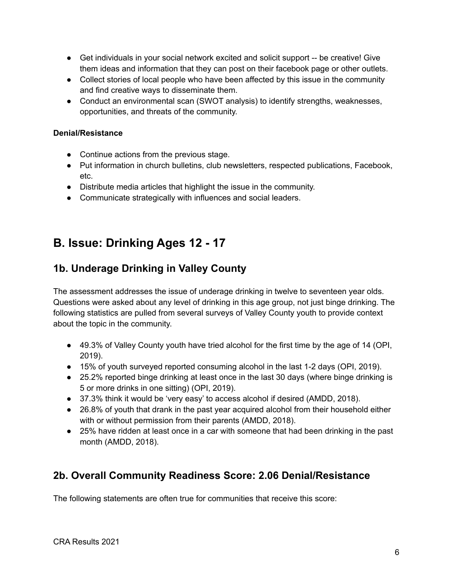- Get individuals in your social network excited and solicit support -- be creative! Give them ideas and information that they can post on their facebook page or other outlets.
- Collect stories of local people who have been affected by this issue in the community and find creative ways to disseminate them.
- Conduct an environmental scan (SWOT analysis) to identify strengths, weaknesses, opportunities, and threats of the community.

#### **Denial/Resistance**

- Continue actions from the previous stage.
- Put information in church bulletins, club newsletters, respected publications, Facebook, etc.
- Distribute media articles that highlight the issue in the community.
- Communicate strategically with influences and social leaders.

## **B. Issue: Drinking Ages 12 - 17**

## **1b. Underage Drinking in Valley County**

The assessment addresses the issue of underage drinking in twelve to seventeen year olds. Questions were asked about any level of drinking in this age group, not just binge drinking. The following statistics are pulled from several surveys of Valley County youth to provide context about the topic in the community.

- 49.3% of Valley County youth have tried alcohol for the first time by the age of 14 (OPI, 2019).
- 15% of youth surveyed reported consuming alcohol in the last 1-2 days (OPI, 2019).
- 25.2% reported binge drinking at least once in the last 30 days (where binge drinking is 5 or more drinks in one sitting) (OPI, 2019).
- 37.3% think it would be 'very easy' to access alcohol if desired (AMDD, 2018).
- 26.8% of youth that drank in the past year acquired alcohol from their household either with or without permission from their parents (AMDD, 2018).
- 25% have ridden at least once in a car with someone that had been drinking in the past month (AMDD, 2018).

## **2b. Overall Community Readiness Score: 2.06 Denial/Resistance**

The following statements are often true for communities that receive this score: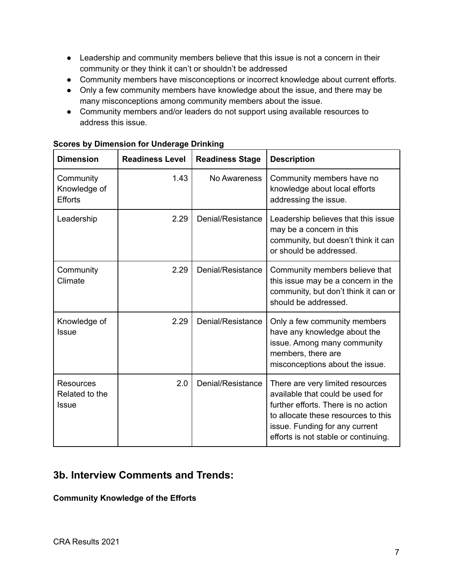- Leadership and community members believe that this issue is not a concern in their community or they think it can't or shouldn't be addressed
- Community members have misconceptions or incorrect knowledge about current efforts.
- Only a few community members have knowledge about the issue, and there may be many misconceptions among community members about the issue.
- Community members and/or leaders do not support using available resources to address this issue.

| <b>Dimension</b>                                   | <b>Readiness Level</b> | <b>Readiness Stage</b> | <b>Description</b>                                                                                                                                                                                                           |
|----------------------------------------------------|------------------------|------------------------|------------------------------------------------------------------------------------------------------------------------------------------------------------------------------------------------------------------------------|
| Community<br>Knowledge of<br><b>Efforts</b>        | 1.43                   | No Awareness           | Community members have no<br>knowledge about local efforts<br>addressing the issue.                                                                                                                                          |
| Leadership                                         | 2.29                   | Denial/Resistance      | Leadership believes that this issue<br>may be a concern in this<br>community, but doesn't think it can<br>or should be addressed.                                                                                            |
| Community<br>Climate                               | 2.29                   | Denial/Resistance      | Community members believe that<br>this issue may be a concern in the<br>community, but don't think it can or<br>should be addressed.                                                                                         |
| Knowledge of<br><b>Issue</b>                       | 2.29                   | Denial/Resistance      | Only a few community members<br>have any knowledge about the<br>issue. Among many community<br>members, there are<br>misconceptions about the issue.                                                                         |
| <b>Resources</b><br>Related to the<br><b>Issue</b> | 2.0                    | Denial/Resistance      | There are very limited resources<br>available that could be used for<br>further efforts. There is no action<br>to allocate these resources to this<br>issue. Funding for any current<br>efforts is not stable or continuing. |

#### **Scores by Dimension for Underage Drinking**

## **3b. Interview Comments and Trends:**

#### **Community Knowledge of the Efforts**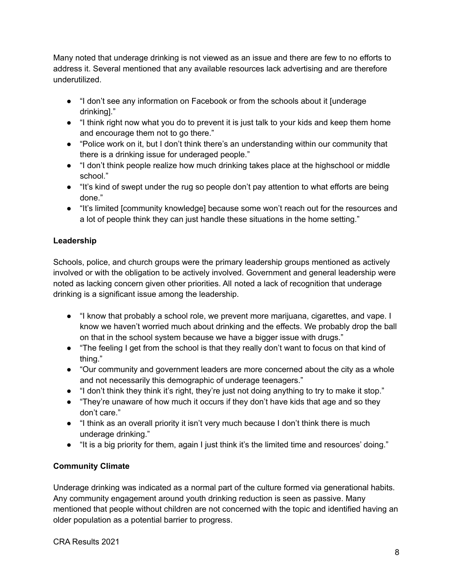Many noted that underage drinking is not viewed as an issue and there are few to no efforts to address it. Several mentioned that any available resources lack advertising and are therefore underutilized.

- "I don't see any information on Facebook or from the schools about it [underage drinking]."
- "I think right now what you do to prevent it is just talk to your kids and keep them home and encourage them not to go there."
- "Police work on it, but I don't think there's an understanding within our community that there is a drinking issue for underaged people."
- "I don't think people realize how much drinking takes place at the highschool or middle school."
- "It's kind of swept under the rug so people don't pay attention to what efforts are being done."
- "It's limited [community knowledge] because some won't reach out for the resources and a lot of people think they can just handle these situations in the home setting."

### **Leadership**

Schools, police, and church groups were the primary leadership groups mentioned as actively involved or with the obligation to be actively involved. Government and general leadership were noted as lacking concern given other priorities. All noted a lack of recognition that underage drinking is a significant issue among the leadership.

- "I know that probably a school role, we prevent more marijuana, cigarettes, and vape. I know we haven't worried much about drinking and the effects. We probably drop the ball on that in the school system because we have a bigger issue with drugs."
- "The feeling I get from the school is that they really don't want to focus on that kind of thing."
- "Our community and government leaders are more concerned about the city as a whole and not necessarily this demographic of underage teenagers."
- "I don't think they think it's right, they're just not doing anything to try to make it stop."
- "They're unaware of how much it occurs if they don't have kids that age and so they don't care."
- "I think as an overall priority it isn't very much because I don't think there is much underage drinking."
- "It is a big priority for them, again I just think it's the limited time and resources' doing."

## **Community Climate**

Underage drinking was indicated as a normal part of the culture formed via generational habits. Any community engagement around youth drinking reduction is seen as passive. Many mentioned that people without children are not concerned with the topic and identified having an older population as a potential barrier to progress.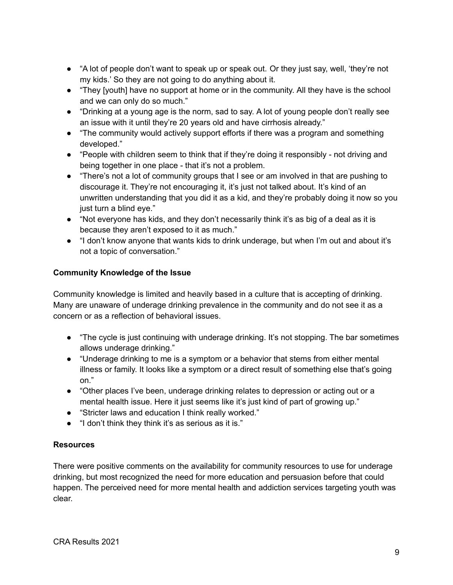- "A lot of people don't want to speak up or speak out. Or they just say, well, 'they're not my kids.' So they are not going to do anything about it.
- "They [youth] have no support at home or in the community. All they have is the school and we can only do so much."
- "Drinking at a young age is the norm, sad to say. A lot of young people don't really see an issue with it until they're 20 years old and have cirrhosis already."
- "The community would actively support efforts if there was a program and something developed."
- "People with children seem to think that if they're doing it responsibly not driving and being together in one place - that it's not a problem.
- "There's not a lot of community groups that I see or am involved in that are pushing to discourage it. They're not encouraging it, it's just not talked about. It's kind of an unwritten understanding that you did it as a kid, and they're probably doing it now so you just turn a blind eye."
- "Not everyone has kids, and they don't necessarily think it's as big of a deal as it is because they aren't exposed to it as much."
- "I don't know anyone that wants kids to drink underage, but when I'm out and about it's not a topic of conversation."

#### **Community Knowledge of the Issue**

Community knowledge is limited and heavily based in a culture that is accepting of drinking. Many are unaware of underage drinking prevalence in the community and do not see it as a concern or as a reflection of behavioral issues.

- "The cycle is just continuing with underage drinking. It's not stopping. The bar sometimes allows underage drinking."
- "Underage drinking to me is a symptom or a behavior that stems from either mental illness or family. It looks like a symptom or a direct result of something else that's going on."
- "Other places I've been, underage drinking relates to depression or acting out or a mental health issue. Here it just seems like it's just kind of part of growing up."
- "Stricter laws and education I think really worked."
- "I don't think they think it's as serious as it is."

#### **Resources**

There were positive comments on the availability for community resources to use for underage drinking, but most recognized the need for more education and persuasion before that could happen. The perceived need for more mental health and addiction services targeting youth was clear.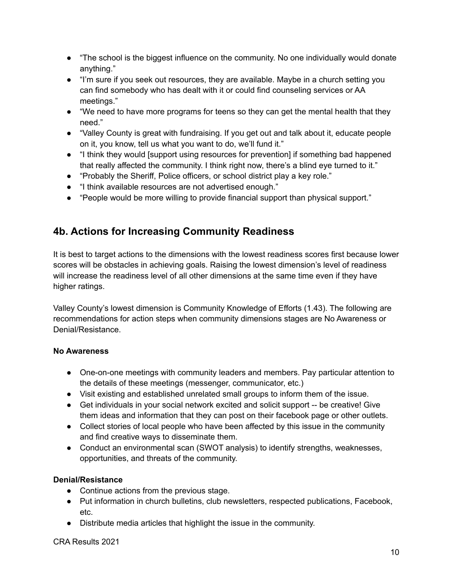- "The school is the biggest influence on the community. No one individually would donate anything."
- "I'm sure if you seek out resources, they are available. Maybe in a church setting you can find somebody who has dealt with it or could find counseling services or AA meetings."
- "We need to have more programs for teens so they can get the mental health that they need."
- "Valley County is great with fundraising. If you get out and talk about it, educate people on it, you know, tell us what you want to do, we'll fund it."
- "I think they would [support using resources for prevention] if something bad happened that really affected the community. I think right now, there's a blind eye turned to it."
- "Probably the Sheriff, Police officers, or school district play a key role."
- "I think available resources are not advertised enough."
- "People would be more willing to provide financial support than physical support."

## **4b. Actions for Increasing Community Readiness**

It is best to target actions to the dimensions with the lowest readiness scores first because lower scores will be obstacles in achieving goals. Raising the lowest dimension's level of readiness will increase the readiness level of all other dimensions at the same time even if they have higher ratings.

Valley County's lowest dimension is Community Knowledge of Efforts (1.43). The following are recommendations for action steps when community dimensions stages are No Awareness or Denial/Resistance.

### **No Awareness**

- One-on-one meetings with community leaders and members. Pay particular attention to the details of these meetings (messenger, communicator, etc.)
- Visit existing and established unrelated small groups to inform them of the issue.
- Get individuals in your social network excited and solicit support -- be creative! Give them ideas and information that they can post on their facebook page or other outlets.
- Collect stories of local people who have been affected by this issue in the community and find creative ways to disseminate them.
- Conduct an environmental scan (SWOT analysis) to identify strengths, weaknesses, opportunities, and threats of the community.

## **Denial/Resistance**

- Continue actions from the previous stage.
- Put information in church bulletins, club newsletters, respected publications, Facebook, etc.
- Distribute media articles that highlight the issue in the community.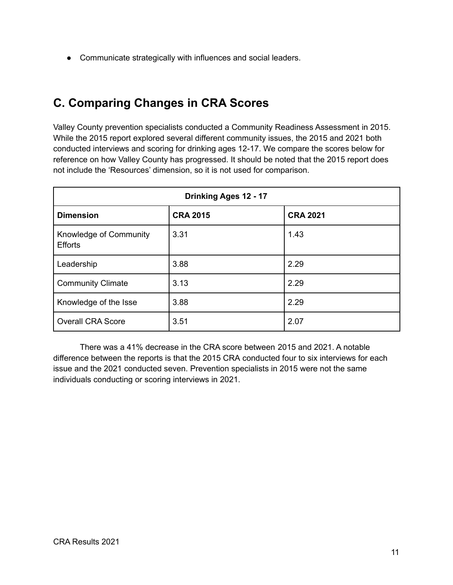● Communicate strategically with influences and social leaders.

# **C. Comparing Changes in CRA Scores**

Valley County prevention specialists conducted a Community Readiness Assessment in 2015. While the 2015 report explored several different community issues, the 2015 and 2021 both conducted interviews and scoring for drinking ages 12-17. We compare the scores below for reference on how Valley County has progressed. It should be noted that the 2015 report does not include the 'Resources' dimension, so it is not used for comparison.

| Drinking Ages 12 - 17                    |                 |                 |
|------------------------------------------|-----------------|-----------------|
| <b>Dimension</b>                         | <b>CRA 2015</b> | <b>CRA 2021</b> |
| Knowledge of Community<br><b>Efforts</b> | 3.31            | 1.43            |
| Leadership                               | 3.88            | 2.29            |
| <b>Community Climate</b>                 | 3.13            | 2.29            |
| Knowledge of the Isse                    | 3.88            | 2.29            |
| <b>Overall CRA Score</b>                 | 3.51            | 2.07            |

There was a 41% decrease in the CRA score between 2015 and 2021. A notable difference between the reports is that the 2015 CRA conducted four to six interviews for each issue and the 2021 conducted seven. Prevention specialists in 2015 were not the same individuals conducting or scoring interviews in 2021.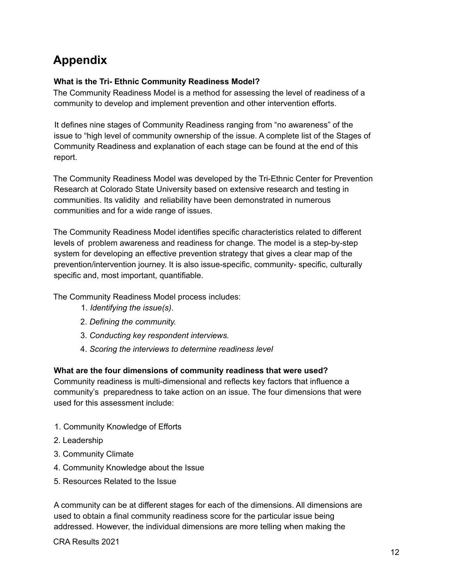# **Appendix**

#### **What is the Tri- Ethnic Community Readiness Model?**

The Community Readiness Model is a method for assessing the level of readiness of a community to develop and implement prevention and other intervention efforts.

It defines nine stages of Community Readiness ranging from "no awareness" of the issue to "high level of community ownership of the issue. A complete list of the Stages of Community Readiness and explanation of each stage can be found at the end of this report.

The Community Readiness Model was developed by the Tri-Ethnic Center for Prevention Research at Colorado State University based on extensive research and testing in communities. Its validity and reliability have been demonstrated in numerous communities and for a wide range of issues.

The Community Readiness Model identifies specific characteristics related to different levels of problem awareness and readiness for change. The model is a step-by-step system for developing an effective prevention strategy that gives a clear map of the prevention/intervention journey. It is also issue-specific, community- specific, culturally specific and, most important, quantifiable.

The Community Readiness Model process includes:

- 1. *Identifying the issue(s)*.
- 2. *Defining the community.*
- 3. *Conducting key respondent interviews.*
- 4. *Scoring the interviews to determine readiness level*

#### **What are the four dimensions of community readiness that were used?**

Community readiness is multi-dimensional and reflects key factors that influence a community's preparedness to take action on an issue. The four dimensions that were used for this assessment include:

- 1. Community Knowledge of Efforts
- 2. Leadership
- 3. Community Climate
- 4. Community Knowledge about the Issue
- 5. Resources Related to the Issue

A community can be at different stages for each of the dimensions. All dimensions are used to obtain a final community readiness score for the particular issue being addressed. However, the individual dimensions are more telling when making the

CRA Results 2021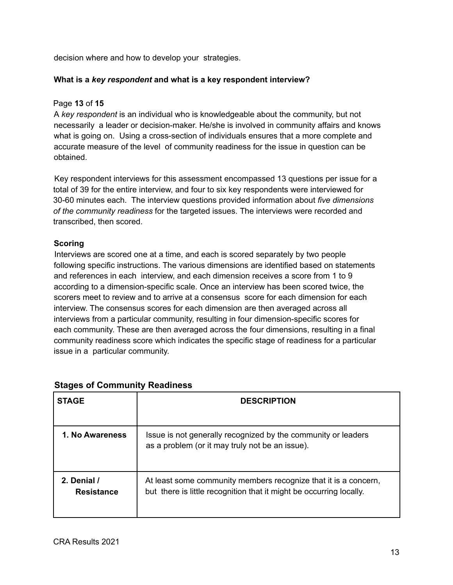decision where and how to develop your strategies.

#### **What is a** *key respondent* **and what is a key respondent interview?**

#### Page **13** of **15**

A *key respondent* is an individual who is knowledgeable about the community, but not necessarily a leader or decision-maker. He/she is involved in community affairs and knows what is going on. Using a cross-section of individuals ensures that a more complete and accurate measure of the level of community readiness for the issue in question can be obtained.

Key respondent interviews for this assessment encompassed 13 questions per issue for a total of 39 for the entire interview, and four to six key respondents were interviewed for 30-60 minutes each. The interview questions provided information about *five dimensions of the community readiness* for the targeted issues. The interviews were recorded and transcribed, then scored.

#### **Scoring**

Interviews are scored one at a time, and each is scored separately by two people following specific instructions. The various dimensions are identified based on statements and references in each interview, and each dimension receives a score from 1 to 9 according to a dimension-specific scale. Once an interview has been scored twice, the scorers meet to review and to arrive at a consensus score for each dimension for each interview. The consensus scores for each dimension are then averaged across all interviews from a particular community, resulting in four dimension-specific scores for each community. These are then averaged across the four dimensions, resulting in a final community readiness score which indicates the specific stage of readiness for a particular issue in a particular community.

| <b>STAGE</b>                     | <b>DESCRIPTION</b>                                                                                                                     |  |
|----------------------------------|----------------------------------------------------------------------------------------------------------------------------------------|--|
|                                  |                                                                                                                                        |  |
| 1. No Awareness                  | Issue is not generally recognized by the community or leaders<br>as a problem (or it may truly not be an issue).                       |  |
| 2. Denial /<br><b>Resistance</b> | At least some community members recognize that it is a concern,<br>but there is little recognition that it might be occurring locally. |  |

#### **Stages of Community Readiness**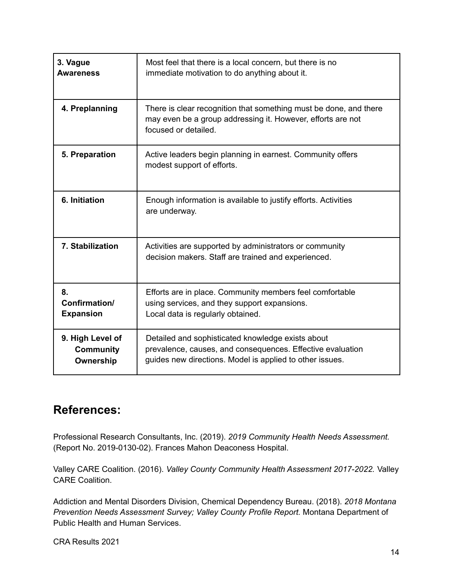| 3. Vague<br><b>Awareness</b>                      | Most feel that there is a local concern, but there is no<br>immediate motivation to do anything about it.                                                                   |
|---------------------------------------------------|-----------------------------------------------------------------------------------------------------------------------------------------------------------------------------|
| 4. Preplanning                                    | There is clear recognition that something must be done, and there<br>may even be a group addressing it. However, efforts are not<br>focused or detailed.                    |
| 5. Preparation                                    | Active leaders begin planning in earnest. Community offers<br>modest support of efforts.                                                                                    |
| 6. Initiation                                     | Enough information is available to justify efforts. Activities<br>are underway.                                                                                             |
| 7. Stabilization                                  | Activities are supported by administrators or community<br>decision makers. Staff are trained and experienced.                                                              |
| 8.<br>Confirmation/<br><b>Expansion</b>           | Efforts are in place. Community members feel comfortable<br>using services, and they support expansions.<br>Local data is regularly obtained.                               |
| 9. High Level of<br><b>Community</b><br>Ownership | Detailed and sophisticated knowledge exists about<br>prevalence, causes, and consequences. Effective evaluation<br>guides new directions. Model is applied to other issues. |

## **References:**

Professional Research Consultants, Inc. (2019). *2019 Community Health Needs Assessment.* (Report No. 2019-0130-02). Frances Mahon Deaconess Hospital.

Valley CARE Coalition. (2016). *Valley County Community Health Assessment 2017-2022.* Valley CARE Coalition.

Addiction and Mental Disorders Division, Chemical Dependency Bureau. (2018). *2018 Montana Prevention Needs Assessment Survey; Valley County Profile Report.* Montana Department of Public Health and Human Services.

CRA Results 2021